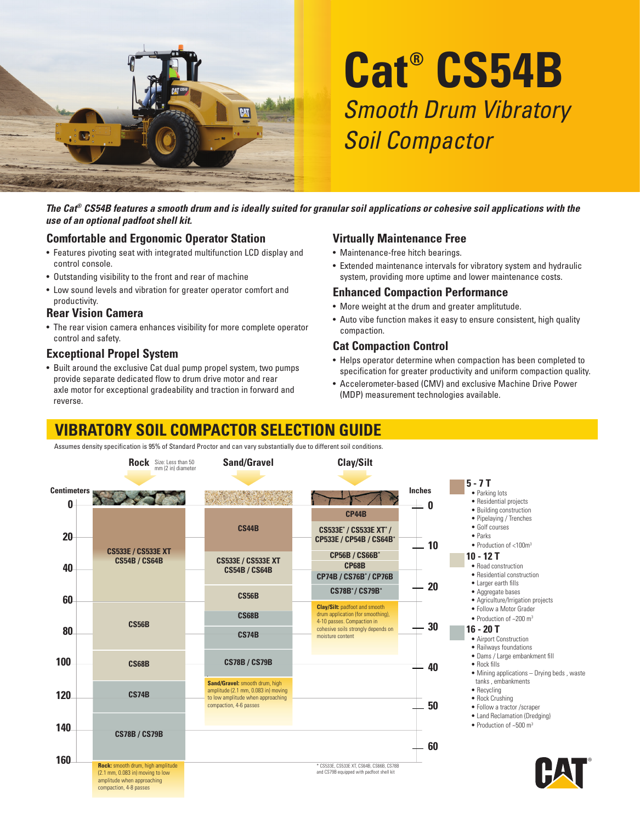

# **Cat® CS54B** Smooth Drum Vibratory Soil Compactor

*The Cat® CS54B features a smooth drum and is ideally suited for granular soil applications or cohesive soil applications with the use of an optional padfoot shell kit.*

#### **Comfortable and Ergonomic Operator Station**

- Features pivoting seat with integrated multifunction LCD display and control console.
- Outstanding visibility to the front and rear of machine
- Low sound levels and vibration for greater operator comfort and productivity.

#### **Rear Vision Camera**

• The rear vision camera enhances visibility for more complete operator control and safety.

#### **Exceptional Propel System**

• Built around the exclusive Cat dual pump propel system, two pumps provide separate dedicated flow to drum drive motor and rear axle motor for exceptional gradeability and traction in forward and reverse.

#### **Virtually Maintenance Free**

- Maintenance-free hitch bearings.
- Extended maintenance intervals for vibratory system and hydraulic system, providing more uptime and lower maintenance costs.

#### **Enhanced Compaction Performance**

- More weight at the drum and greater amplitutude.
- Auto vibe function makes it easy to ensure consistent, high quality compaction.

#### **Cat Compaction Control**

- Helps operator determine when compaction has been completed to specification for greater productivity and uniform compaction quality.
- Accelerometer-based (CMV) and exclusive Machine Drive Power (MDP) measurement technologies available.

## **VIBRATORY SOIL COMPACTOR SELECTION GUIDE**

Assumes density specification is 95% of Standard Proctor and can vary substantially due to different soil conditions.

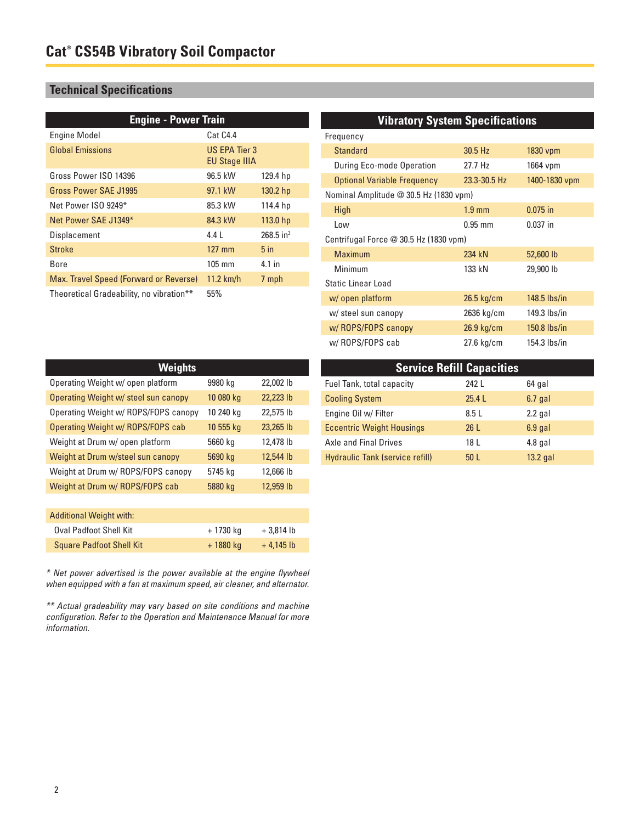## **Technical Specifications**

| <b>Engine - Power Train</b>              |                                              |                         |  |
|------------------------------------------|----------------------------------------------|-------------------------|--|
| <b>Engine Model</b>                      | Cat C4.4                                     |                         |  |
| <b>Global Emissions</b>                  | <b>US EPA Tier 3</b><br><b>EU Stage IIIA</b> |                         |  |
| Gross Power ISO 14396                    | 96.5 kW                                      | 129.4 hp                |  |
| Gross Power SAE J1995                    | 97.1 kW                                      | 130.2 hp                |  |
| Net Power ISO 9249*                      | 85.3 kW                                      | 114.4 hp                |  |
| Net Power SAE J1349*                     | 84.3 kW                                      | 113.0 <sub>hp</sub>     |  |
| Displacement                             | 4.4 L                                        | $268.5$ in <sup>3</sup> |  |
| Stroke                                   | $127$ mm                                     | $5$ in                  |  |
| Bore                                     | $105 \text{ mm}$                             | 4.1 in                  |  |
| Max. Travel Speed (Forward or Reverse)   | $11.2$ km/h                                  | 7 mph                   |  |
| Theoretical Gradeability, no vibration** | 55%                                          |                         |  |

| <b>Vibratory System Specifications</b> |                  |                |  |
|----------------------------------------|------------------|----------------|--|
| Frequency                              |                  |                |  |
| <b>Standard</b>                        | 30.5 Hz          | 1830 vpm       |  |
| During Eco-mode Operation              | 27.7 Hz          | 1664 vpm       |  |
| <b>Optional Variable Frequency</b>     | 23.3-30.5 Hz     | 1400-1830 vpm  |  |
| Nominal Amplitude @ 30.5 Hz (1830 vpm) |                  |                |  |
| High                                   | $1.9 \text{ mm}$ | $0.075$ in     |  |
| Low                                    | $0.95$ mm        | $0.037$ in     |  |
| Centrifugal Force @ 30.5 Hz (1830 vpm) |                  |                |  |
| Maximum                                | 234 kN           | 52,600 lb      |  |
| Minimum                                | 133 kN           | 29,900 lb      |  |
| Static Linear Load                     |                  |                |  |
| w/ open platform                       | $26.5$ kg/cm     | $148.5$ lbs/in |  |
| w/ steel sun canopy                    | 2636 kg/cm       | 149.3 lbs/in   |  |
| w/ ROPS/FOPS canopy                    | $26.9$ kg/cm     | $150.8$ lbs/in |  |
| w/ROPS/FOPS cab                        | 27.6 kg/cm       | 154.3 lbs/in   |  |

| <b>Weights</b>                           |           |           |  |
|------------------------------------------|-----------|-----------|--|
| Operating Weight w/ open platform        | 9980 kg   | 22,002 lb |  |
| Operating Weight w/ steel sun canopy     | 10 080 kg | 22,223 lb |  |
| Operating Weight w/ ROPS/FOPS canopy     | 10 240 kg | 22,575 lb |  |
| <b>Operating Weight w/ ROPS/FOPS cab</b> | 10 555 kg | 23,265 lb |  |
| Weight at Drum w/ open platform          | 5660 kg   | 12,478 lb |  |
| Weight at Drum w/steel sun canopy        | 5690 kg   | 12,544 lb |  |
| Weight at Drum w/ ROPS/FOPS canopy       | 5745 kg   | 12,666 lb |  |
| Weight at Drum w/ ROPS/FOPS cab          | 5880 kg   | 12,959 lb |  |
|                                          |           |           |  |

| <b>Additional Weight with:</b>  |           |             |
|---------------------------------|-----------|-------------|
| <b>Oval Padfoot Shell Kit</b>   | + 1730 ka | $+3.814$ lb |
| <b>Square Padfoot Shell Kit</b> | + 1880 kg | $+4.145$ lb |

\* Net power advertised is the power available at the engine flywheel when equipped with a fan at maximum speed, air cleaner, and alternator.

\*\* Actual gradeability may vary based on site conditions and machine configuration. Refer to the Operation and Maintenance Manual for more information.

| <b>Service Refill Capacities</b>       |                 |           |  |
|----------------------------------------|-----------------|-----------|--|
| Fuel Tank, total capacity              | 242 L           | 64 gal    |  |
| <b>Cooling System</b>                  | 25.4L           | $6.7$ gal |  |
| Engine Oil w/ Filter                   | 8.5L            | $2.2$ gal |  |
| <b>Eccentric Weight Housings</b>       | 26L             | $6.9$ gal |  |
| <b>Axle and Final Drives</b>           | 18 L            | $4.8$ gal |  |
| <b>Hydraulic Tank (service refill)</b> | 50 <sub>1</sub> | 13.2 gal  |  |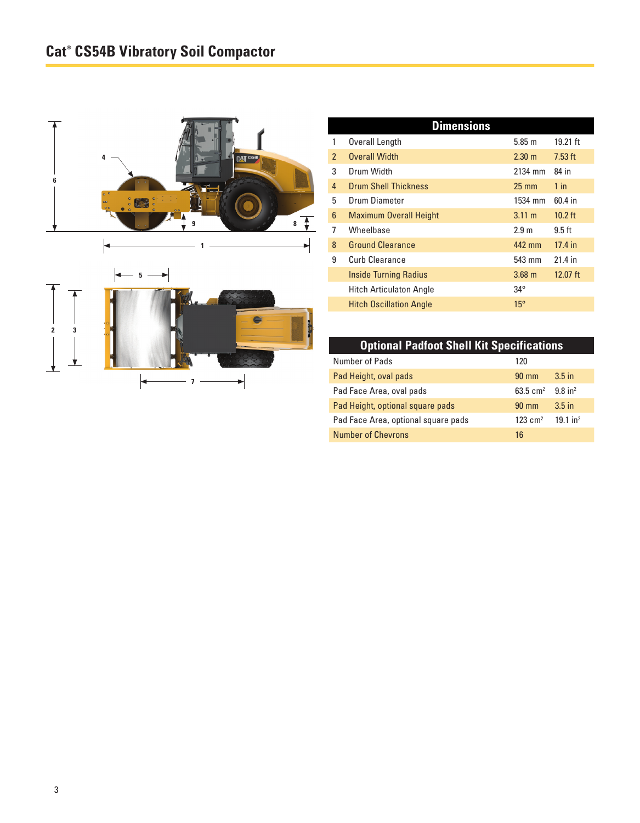

| <b>Dimensions</b>              |                    |            |
|--------------------------------|--------------------|------------|
| Overall Length                 | 5.85 m             | 19.21 ft   |
| <b>Overall Width</b>           | $2.30 \; \text{m}$ | $7.53$ ft  |
| Drum Width                     | 2134 mm            | 84 in      |
| <b>Drum Shell Thickness</b>    | $25 \text{ mm}$    | $1$ in     |
| Drum Diameter                  | 1534 mm            | 60.4 in    |
| <b>Maximum Overall Height</b>  | $3.11 \text{ m}$   | $10.2$ ft  |
| Wheelbase                      | 2.9 <sub>m</sub>   | $9.5$ ft   |
| <b>Ground Clearance</b>        | 442 mm             | 17.4 in    |
| Curb Clearance                 | 543 mm             | 21.4 in    |
| <b>Inside Turning Radius</b>   | $3.68$ m           | $12.07$ ft |
| <b>Hitch Articulaton Angle</b> | $34^{\circ}$       |            |
| <b>Hitch Oscillation Angle</b> | $15^{\circ}$       |            |
|                                |                    |            |

## **Optional Padfoot Shell Kit Specifications**

| Number of Pads                      | 120             |                       |
|-------------------------------------|-----------------|-----------------------|
| Pad Height, oval pads               | $90 \text{ mm}$ | $3.5$ in              |
| Pad Face Area, oval pads            | 63.5 $cm2$      | $9.8$ in <sup>2</sup> |
| Pad Height, optional square pads    | $90 \text{ mm}$ | 3.5 <sub>in</sub>     |
| Pad Face Area, optional square pads | 123 $cm2$       | 191 in <sup>2</sup>   |
| <b>Number of Chevrons</b>           | 16              |                       |